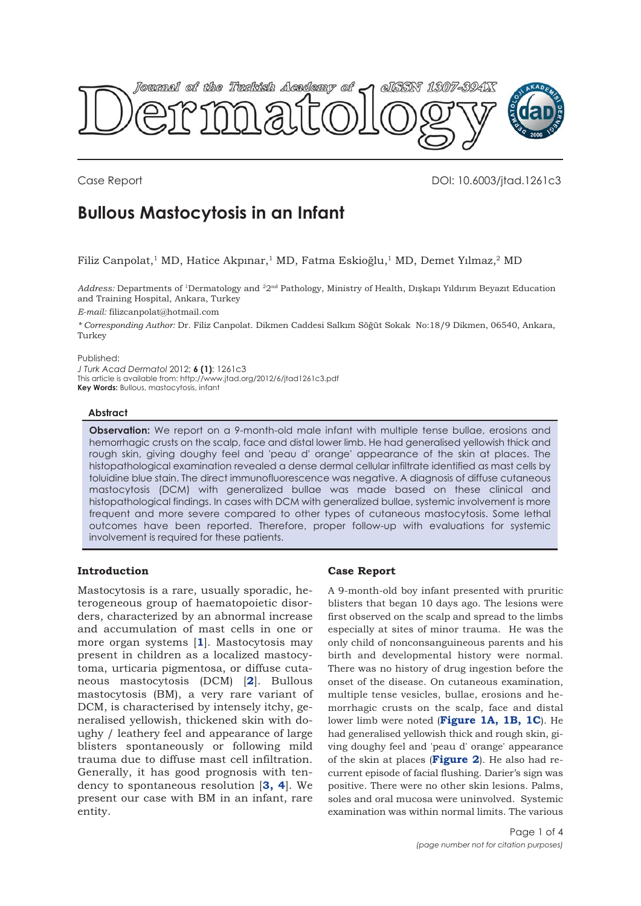<span id="page-0-0"></span>

Case Report DOI: 10.6003/jtad.1261c3

# **Bullous Mastocytosis in an Infant**

Filiz Canpolat,1 MD, Hatice Akpınar,1 MD, Fatma Eskioğlu,1 MD, Demet Yılmaz,2 MD

*Address:* Departments of 1Dermatology and 22nd Pathology, Ministry of Health, Dışkapı Yıldırım Beyazıt Education and Training Hospital, Ankara, Turkey

*E-mail:* filizcanpolat@hotmail.com

*\* Corresponding Author:* Dr. Filiz Canpolat. Dikmen Caddesi Salkım Söğüt Sokak No:18/9 Dikmen, 06540, Ankara, Turkey

## Published:

*J Turk Acad Dermatol* 2012; **6 (1)**: 1261c3 This article is available from: http://www.jtad.org/2012/6/jtad1261c3.pdf **Key Words:** Bullous, mastocytosis, infant

## **Abstract**

**Observation:** We report on a 9-month-old male infant with multiple tense bullae, erosions and hemorrhagic crusts on the scalp, face and distal lower limb. He had generalised yellowish thick and rough skin, giving doughy feel and 'peau d' orange' appearance of the skin at places. The histopathological examination revealed a dense dermal cellular infiltrate identified as mast cells by toluidine blue stain. The direct immunofluorescence was negative. A diagnosis of diffuse cutaneous mastocytosis (DCM) with generalized bullae was made based on these clinical and histopathological findings. In cases with DCM with generalized bullae, systemic involvement is more frequent and more severe compared to other types of cutaneous mastocytosis. Some lethal outcomes have been reported. Therefore, proper follow-up with evaluations for systemic involvement is required for these patients.

# **Introduction**

Mastocytosis is a rare, usually sporadic, heterogeneous group of haematopoietic disorders, characterized by an abnormal increase and accumulation of mast cells in one or more organ systems [**[1](#page-2-0)**]. Mastocytosis may present in children as a localized mastocytoma, urticaria pigmentosa, or diffuse cutaneous mastocytosis (DCM) [**[2](#page-2-0)**]. Bullous mastocytosis (BM), a very rare variant of DCM, is characterised by intensely itchy, generalised yellowish, thickened skin with doughy / leathery feel and appearance of large blisters spontaneously or following mild trauma due to diffuse mast cell infiltration. Generally, it has good prognosis with tendency to spontaneous resolution [**[3, 4](#page-2-0)**]. We present our case with BM in an infant, rare entity.

# **Case Report**

A 9-month-old boy infant presented with pruritic blisters that began 10 days ago. The lesions were first observed on the scalp and spread to the limbs especially at sites of minor trauma. He was the only child of nonconsanguineous parents and his birth and developmental history were normal. There was no history of drug ingestion before the onset of the disease. On cutaneous examination, multiple tense vesicles, bullae, erosions and hemorrhagic crusts on the scalp, face and distal lower limb were noted (**[Figure 1A, 1B, 1C](#page-1-0)**). He had generalised yellowish thick and rough skin, giving doughy feel and 'peau d' orange' appearance of the skin at places (**[Figure 2](#page-1-0)**). He also had recurrent episode of facial flushing. Darier's sign was positive. There were no other skin lesions. Palms, soles and oral mucosa were uninvolved. Systemic examination was within normal limits. The various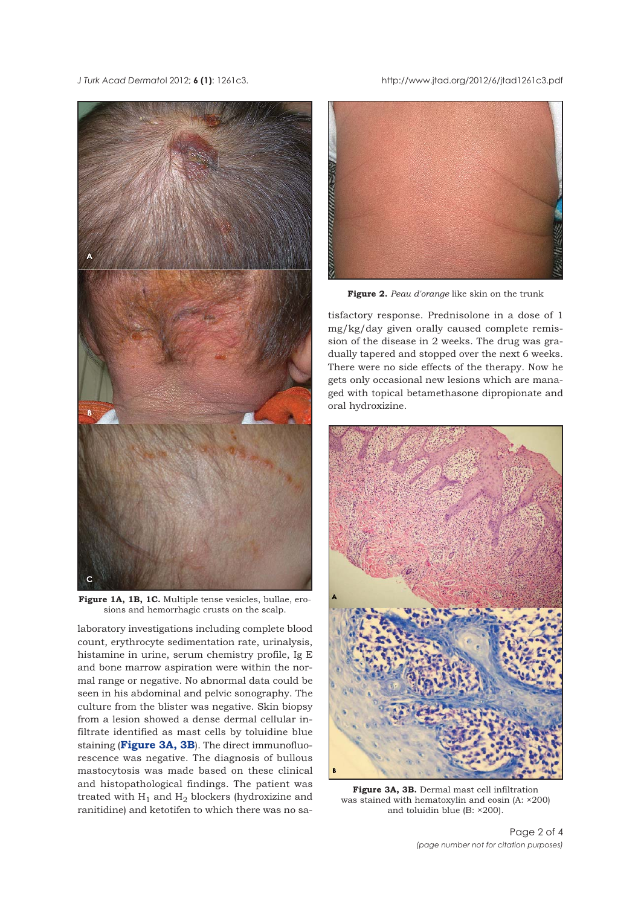<span id="page-1-0"></span>

**[Figure 1A, 1B, 1C.](#page-0-0)** Multiple tense vesicles, bullae, erosions and hemorrhagic crusts on the scalp.

laboratory investigations including complete blood count, erythrocyte sedimentation rate, urinalysis, histamine in urine, serum chemistry profile, Ig E and bone marrow aspiration were within the normal range or negative. No abnormal data could be seen in his abdominal and pelvic sonography. The culture from the blister was negative. Skin biopsy from a lesion showed a dense dermal cellular infiltrate identified as mast cells by toluidine blue staining (**Figure 3A, 3B**). The direct immunofluorescence was negative. The diagnosis of bullous mastocytosis was made based on these clinical and histopathological findings. The patient was treated with  $H_1$  and  $H_2$  blockers (hydroxizine and ranitidine) and ketotifen to which there was no sa-

### *J Turk Acad Dermato*l 2012; **6 (1)**: 1261c3. http://www.jtad.org/2012/6/jtad1261c3.pdf



**[Figure 2.](#page-0-0)** *Peau d'orange* like skin on the trunk

tisfactory response. Prednisolone in a dose of 1 mg/kg/day given orally caused complete remission of the disease in 2 weeks. The drug was gradually tapered and stopped over the next 6 weeks. There were no side effects of the therapy. Now he gets only occasional new lesions which are managed with topical betamethasone dipropionate and oral hydroxizine.



**Figure 3A, 3B.** Dermal mast cell infiltration was stained with hematoxylin and eosin (A: ×200) and toluidin blue (B: ×200).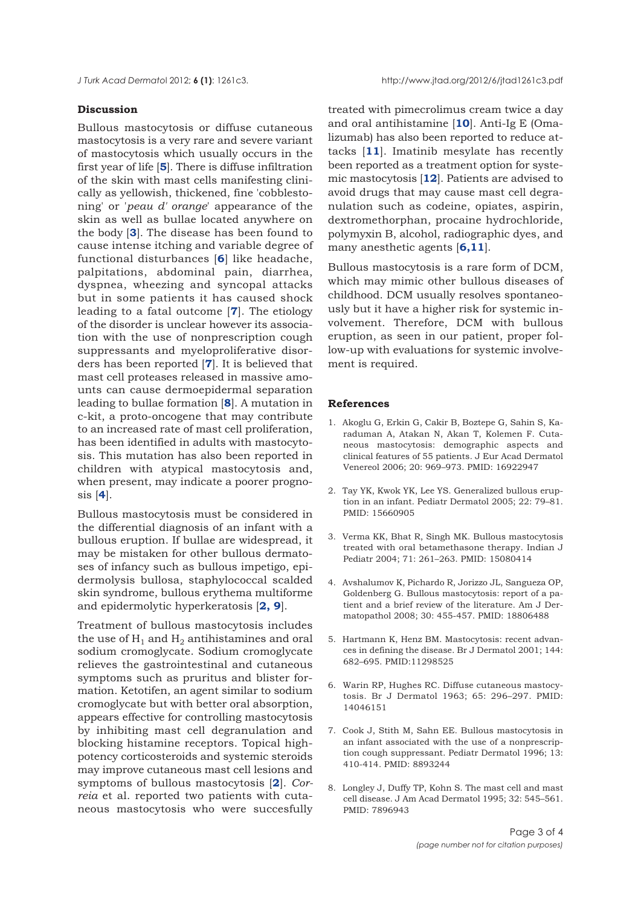<span id="page-2-0"></span>

## **Discussion**

Bullous mastocytosis or diffuse cutaneous mastocytosis is a very rare and severe variant of mastocytosis which usually occurs in the first year of life [**5**]. There is diffuse infiltration of the skin with mast cells manifesting clinically as yellowish, thickened, fine 'cobblestoning' or '*peau d' orange*' appearance of the skin as well as bullae located anywhere on the body [**3**]. The disease has been found to cause intense itching and variable degree of functional disturbances [**6**] like headache, palpitations, abdominal pain, diarrhea, dyspnea, wheezing and syncopal attacks but in some patients it has caused shock leading to a fatal outcome [**7**]. The etiology of the disorder is unclear however its association with the use of nonprescription cough suppressants and myeloproliferative disorders has been reported [**7**]. It is believed that mast cell proteases released in massive amounts can cause dermoepidermal separation leading to bullae formation [**8**]. A mutation in c-kit, a proto-oncogene that may contribute to an increased rate of mast cell proliferation, has been identified in adults with mastocytosis. This mutation has also been reported in children with atypical mastocytosis and, when present, may indicate a poorer prognosis [**4**].

Bullous mastocytosis must be considered in the differential diagnosis of an infant with a bullous eruption. If bullae are widespread, it may be mistaken for other bullous dermatoses of infancy such as bullous impetigo, epidermolysis bullosa, staphylococcal scalded skin syndrome, bullous erythema multiforme and epidermolytic hyperkeratosis [**2, [9](#page-3-0)**].

Treatment of bullous mastocytosis includes the use of  $H_1$  and  $H_2$  antihistamines and oral sodium cromoglycate. Sodium cromoglycate relieves the gastrointestinal and cutaneous symptoms such as pruritus and blister formation. Ketotifen, an agent similar to sodium cromoglycate but with better oral absorption, appears effective for controlling mastocytosis by inhibiting mast cell degranulation and blocking histamine receptors. Topical highpotency corticosteroids and systemic steroids may improve cutaneous mast cell lesions and symptoms of bullous mastocytosis [**2**]. *Correia* et al. reported two patients with cutaneous mastocytosis who were succesfully

treated with pimecrolimus cream twice a day and oral antihistamine [**[10](#page-3-0)**]. Anti-Ig E (Omalizumab) has also been reported to reduce attacks [**[11](#page-3-0)**]. Imatinib mesylate has recently been reported as a treatment option for systemic mastocytosis [**[12](#page-3-0)**]. Patients are advised to avoid drugs that may cause mast cell degranulation such as codeine, opiates, aspirin, dextromethorphan, procaine hydrochloride, polymyxin B, alcohol, radiographic dyes, and many anesthetic agents [**6,[11](#page-3-0)**].

Bullous mastocytosis is a rare form of DCM, which may mimic other bullous diseases of childhood. DCM usually resolves spontaneously but it have a higher risk for systemic involvement. Therefore, DCM with bullous eruption, as seen in our patient, proper follow-up with evaluations for systemic involvement is required.

## **References**

- [1.](#page-0-0) Akoglu G, Erkin G, Cakir B, Boztepe G, Sahin S, Karaduman A, Atakan N, Akan T, Kolemen F. Cutaneous mastocytosis: demographic aspects and clinical features of 55 patients. J Eur Acad Dermatol Venereol 2006; 20: 969–973. PMID: 16922947
- [2.](#page-0-0) Tay YK, Kwok YK, Lee YS. Generalized bullous eruption in an infant. Pediatr Dermatol 2005; 22: 79–81. PMID: 15660905
- [3. Verma KK, Bhat R, Singh MK. Bullous mastocytosis](#page-0-0) treated with oral betamethasone therapy. Indian J Pediatr 2004; 71: 261–263. PMID: 15080414
- 4. Avshalumov K, Pichardo R, Jorizzo JL, Sangueza OP, Goldenberg G. Bullous mastocytosis: report of a patient and a brief review of the literature. Am J Dermatopathol 2008; 30: 455-457. PMID: 18806488
- 5. Hartmann K, Henz BM. Mastocytosis: recent advances in defining the disease. Br J Dermatol 2001; 144: 682–695. PMID:11298525
- 6. Warin RP, Hughes RC. Diffuse cutaneous mastocytosis. Br J Dermatol 1963; 65: 296–297. PMID: 14046151
- 7. Cook J, Stith M, Sahn EE. Bullous mastocytosis in an infant associated with the use of a nonprescription cough suppressant. Pediatr Dermatol 1996; 13: 410-414. PMID: 8893244
- 8. Longley J, Duffy TP, Kohn S. The mast cell and mast cell disease. J Am Acad Dermatol 1995; 32: 545–561. PMID: 7896943